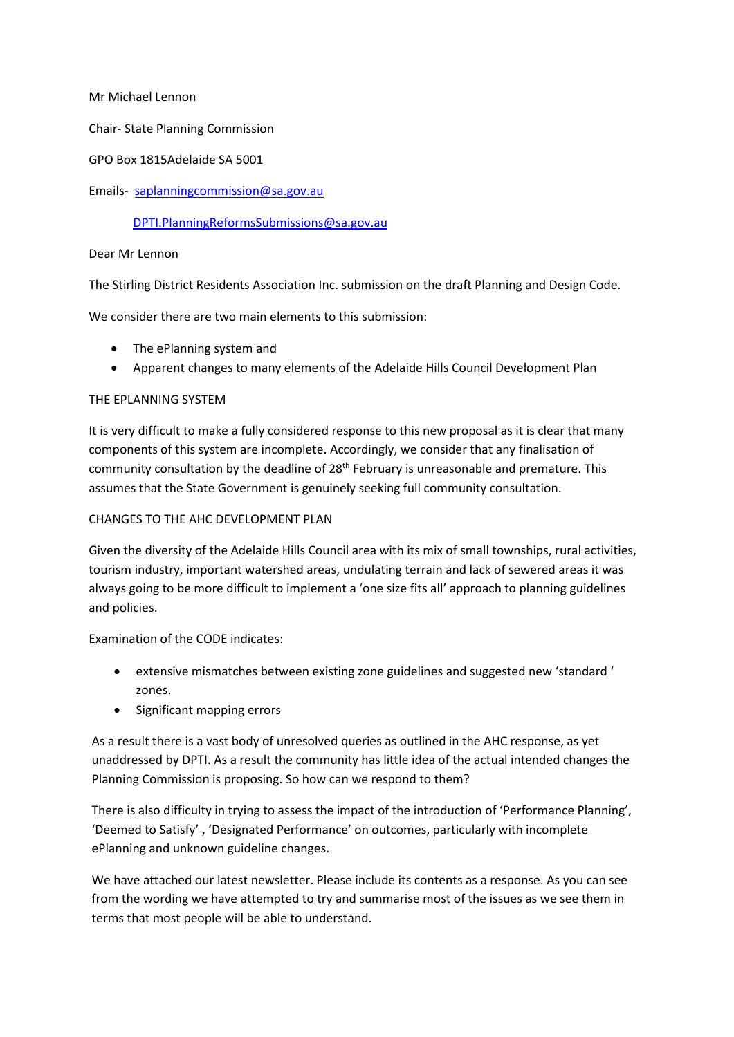Mr Michael Lennon

Chair- State Planning Commission

GPO Box 1815Adelaide SA 5001

Emails- [saplanningcommission@sa.gov.au](mailto:saplanningcommission@sa.gov.au)

# [DPTI.PlanningReformsSubmissions@sa.gov.au](mailto:DPTI.PlanningReformsSubmissions@sa.gov.au)

#### Dear Mr Lennon

The Stirling District Residents Association Inc. submission on the draft Planning and Design Code.

We consider there are two main elements to this submission:

- The ePlanning system and
- Apparent changes to many elements of the Adelaide Hills Council Development Plan

#### THE EPLANNING SYSTEM

It is very difficult to make a fully considered response to this new proposal as it is clear that many components of this system are incomplete. Accordingly, we consider that any finalisation of community consultation by the deadline of 28<sup>th</sup> February is unreasonable and premature. This assumes that the State Government is genuinely seeking full community consultation.

# CHANGES TO THE AHC DEVELOPMENT PLAN

Given the diversity of the Adelaide Hills Council area with its mix of small townships, rural activities, tourism industry, important watershed areas, undulating terrain and lack of sewered areas it was always going to be more difficult to implement a 'one size fits all' approach to planning guidelines and policies.

Examination of the CODE indicates:

- extensive mismatches between existing zone guidelines and suggested new 'standard ' zones.
- Significant mapping errors

As a result there is a vast body of unresolved queries as outlined in the AHC response, as yet unaddressed by DPTI. As a result the community has little idea of the actual intended changes the Planning Commission is proposing. So how can we respond to them?

There is also difficulty in trying to assess the impact of the introduction of 'Performance Planning', 'Deemed to Satisfy' , 'Designated Performance' on outcomes, particularly with incomplete ePlanning and unknown guideline changes.

We have attached our latest newsletter. Please include its contents as a response. As you can see from the wording we have attempted to try and summarise most of the issues as we see them in terms that most people will be able to understand.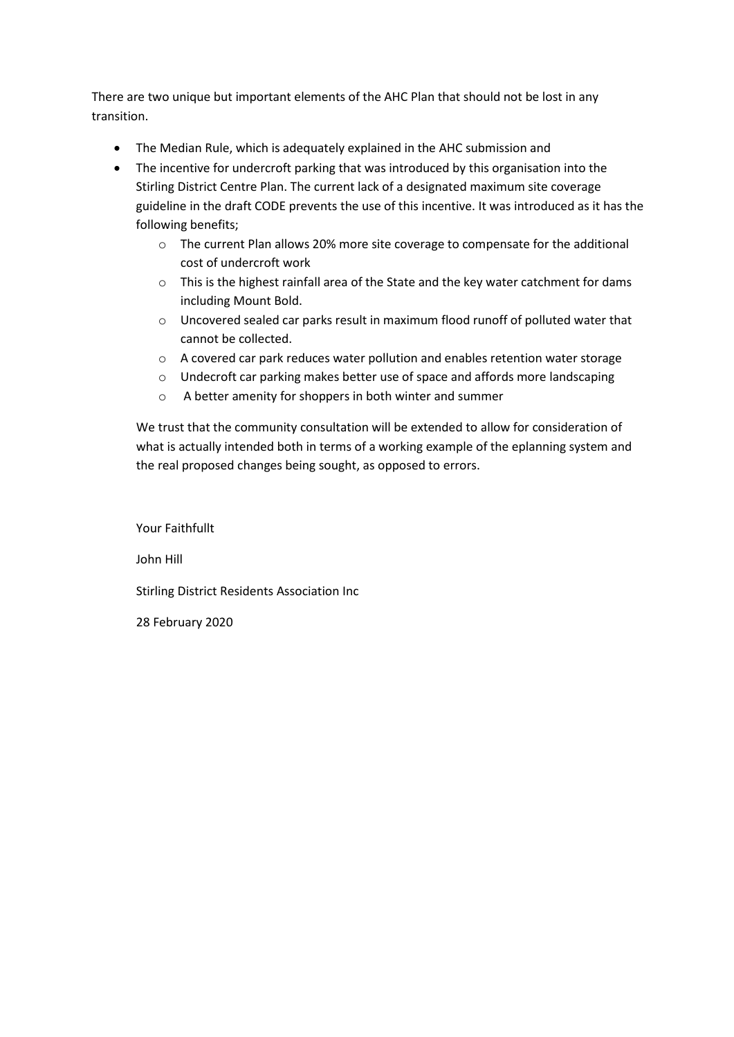There are two unique but important elements of the AHC Plan that should not be lost in any transition.

- The Median Rule, which is adequately explained in the AHC submission and
- The incentive for undercroft parking that was introduced by this organisation into the Stirling District Centre Plan. The current lack of a designated maximum site coverage guideline in the draft CODE prevents the use of this incentive. It was introduced as it has the following benefits;
	- $\circ$  The current Plan allows 20% more site coverage to compensate for the additional cost of undercroft work
	- o This is the highest rainfall area of the State and the key water catchment for dams including Mount Bold.
	- $\circ$  Uncovered sealed car parks result in maximum flood runoff of polluted water that cannot be collected.
	- o A covered car park reduces water pollution and enables retention water storage
	- o Undecroft car parking makes better use of space and affords more landscaping
	- o A better amenity for shoppers in both winter and summer

We trust that the community consultation will be extended to allow for consideration of what is actually intended both in terms of a working example of the eplanning system and the real proposed changes being sought, as opposed to errors.

Your Faithfullt

John Hill

Stirling District Residents Association Inc

28 February 2020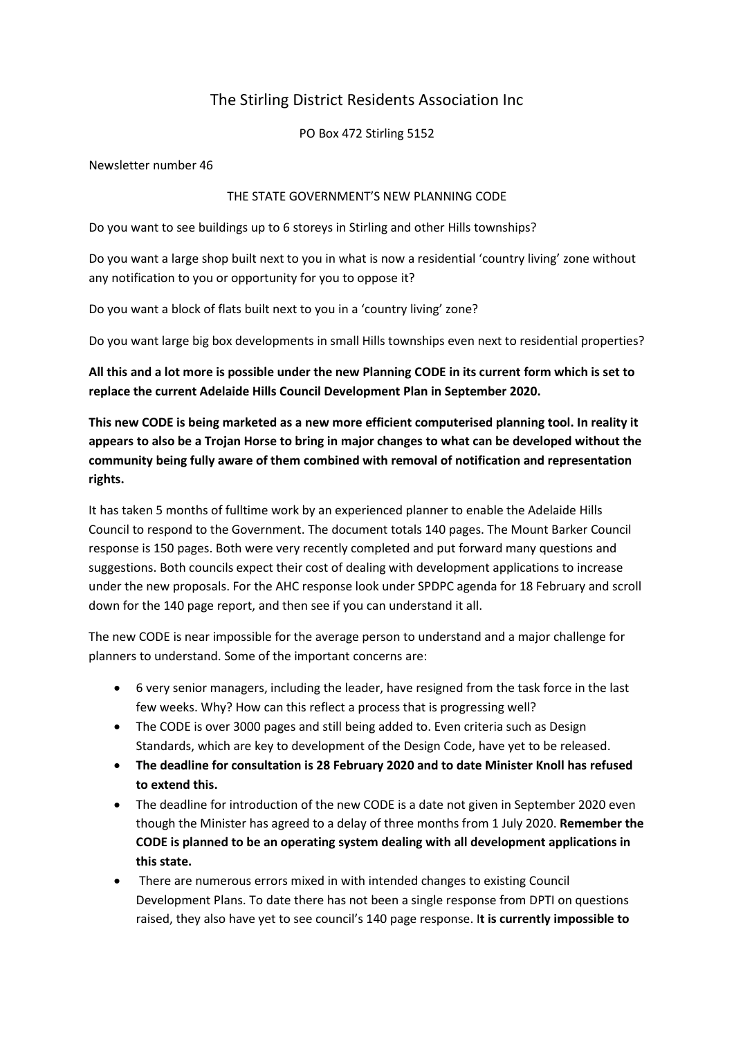# The Stirling District Residents Association Inc

PO Box 472 Stirling 5152

Newsletter number 46

#### THE STATE GOVERNMENT'S NEW PLANNING CODE

Do you want to see buildings up to 6 storeys in Stirling and other Hills townships?

Do you want a large shop built next to you in what is now a residential 'country living' zone without any notification to you or opportunity for you to oppose it?

Do you want a block of flats built next to you in a 'country living' zone?

Do you want large big box developments in small Hills townships even next to residential properties?

**All this and a lot more is possible under the new Planning CODE in its current form which is set to replace the current Adelaide Hills Council Development Plan in September 2020.**

**This new CODE is being marketed as a new more efficient computerised planning tool. In reality it appears to also be a Trojan Horse to bring in major changes to what can be developed without the community being fully aware of them combined with removal of notification and representation rights.** 

It has taken 5 months of fulltime work by an experienced planner to enable the Adelaide Hills Council to respond to the Government. The document totals 140 pages. The Mount Barker Council response is 150 pages. Both were very recently completed and put forward many questions and suggestions. Both councils expect their cost of dealing with development applications to increase under the new proposals. For the AHC response look under SPDPC agenda for 18 February and scroll down for the 140 page report, and then see if you can understand it all.

The new CODE is near impossible for the average person to understand and a major challenge for planners to understand. Some of the important concerns are:

- 6 very senior managers, including the leader, have resigned from the task force in the last few weeks. Why? How can this reflect a process that is progressing well?
- The CODE is over 3000 pages and still being added to. Even criteria such as Design Standards, which are key to development of the Design Code, have yet to be released.
- **The deadline for consultation is 28 February 2020 and to date Minister Knoll has refused to extend this.**
- The deadline for introduction of the new CODE is a date not given in September 2020 even though the Minister has agreed to a delay of three months from 1 July 2020. **Remember the CODE is planned to be an operating system dealing with all development applications in this state.**
- There are numerous errors mixed in with intended changes to existing Council Development Plans. To date there has not been a single response from DPTI on questions raised, they also have yet to see council's 140 page response. I**t is currently impossible to**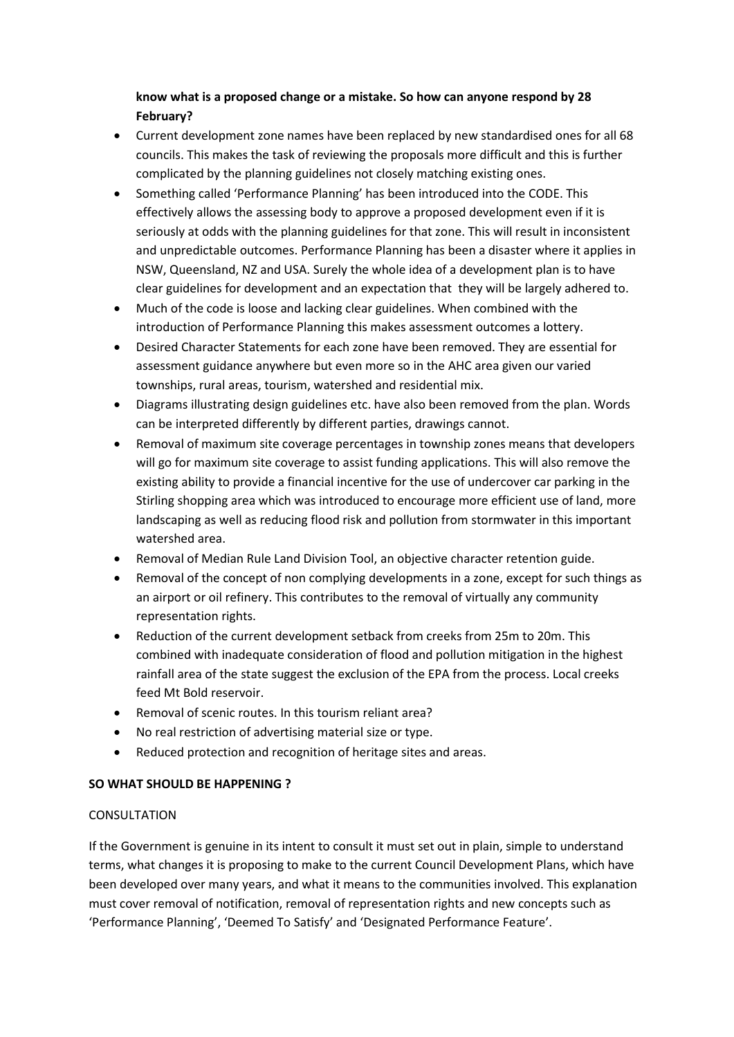# **know what is a proposed change or a mistake. So how can anyone respond by 28 February?**

- Current development zone names have been replaced by new standardised ones for all 68 councils. This makes the task of reviewing the proposals more difficult and this is further complicated by the planning guidelines not closely matching existing ones.
- Something called 'Performance Planning' has been introduced into the CODE. This effectively allows the assessing body to approve a proposed development even if it is seriously at odds with the planning guidelines for that zone. This will result in inconsistent and unpredictable outcomes. Performance Planning has been a disaster where it applies in NSW, Queensland, NZ and USA. Surely the whole idea of a development plan is to have clear guidelines for development and an expectation that they will be largely adhered to.
- Much of the code is loose and lacking clear guidelines. When combined with the introduction of Performance Planning this makes assessment outcomes a lottery.
- Desired Character Statements for each zone have been removed. They are essential for assessment guidance anywhere but even more so in the AHC area given our varied townships, rural areas, tourism, watershed and residential mix.
- Diagrams illustrating design guidelines etc. have also been removed from the plan. Words can be interpreted differently by different parties, drawings cannot.
- Removal of maximum site coverage percentages in township zones means that developers will go for maximum site coverage to assist funding applications. This will also remove the existing ability to provide a financial incentive for the use of undercover car parking in the Stirling shopping area which was introduced to encourage more efficient use of land, more landscaping as well as reducing flood risk and pollution from stormwater in this important watershed area.
- Removal of Median Rule Land Division Tool, an objective character retention guide.
- Removal of the concept of non complying developments in a zone, except for such things as an airport or oil refinery. This contributes to the removal of virtually any community representation rights.
- Reduction of the current development setback from creeks from 25m to 20m. This combined with inadequate consideration of flood and pollution mitigation in the highest rainfall area of the state suggest the exclusion of the EPA from the process. Local creeks feed Mt Bold reservoir.
- Removal of scenic routes. In this tourism reliant area?
- No real restriction of advertising material size or type.
- Reduced protection and recognition of heritage sites and areas.

# **SO WHAT SHOULD BE HAPPENING ?**

# CONSULTATION

If the Government is genuine in its intent to consult it must set out in plain, simple to understand terms, what changes it is proposing to make to the current Council Development Plans, which have been developed over many years, and what it means to the communities involved. This explanation must cover removal of notification, removal of representation rights and new concepts such as 'Performance Planning', 'Deemed To Satisfy' and 'Designated Performance Feature'.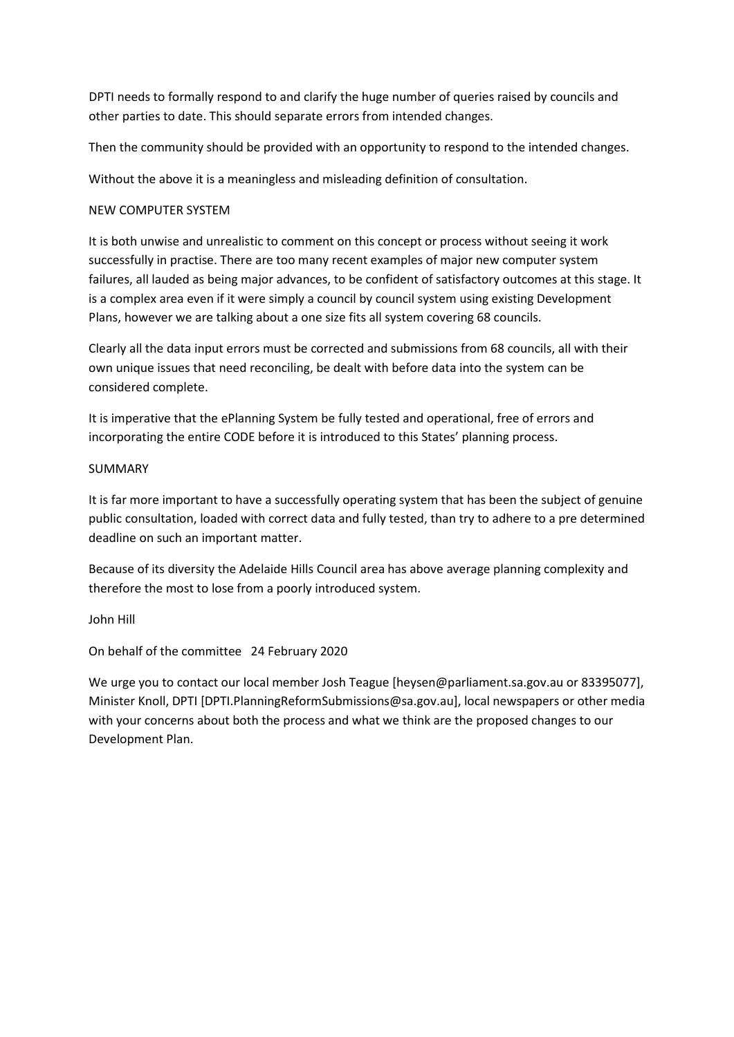DPTI needs to formally respond to and clarify the huge number of queries raised by councils and other parties to date. This should separate errors from intended changes.

Then the community should be provided with an opportunity to respond to the intended changes.

Without the above it is a meaningless and misleading definition of consultation.

#### NEW COMPUTER SYSTEM

It is both unwise and unrealistic to comment on this concept or process without seeing it work successfully in practise. There are too many recent examples of major new computer system failures, all lauded as being major advances, to be confident of satisfactory outcomes at this stage. It is a complex area even if it were simply a council by council system using existing Development Plans, however we are talking about a one size fits all system covering 68 councils.

Clearly all the data input errors must be corrected and submissions from 68 councils, all with their own unique issues that need reconciling, be dealt with before data into the system can be considered complete.

It is imperative that the ePlanning System be fully tested and operational, free of errors and incorporating the entire CODE before it is introduced to this States' planning process.

#### SUMMARY

It is far more important to have a successfully operating system that has been the subject of genuine public consultation, loaded with correct data and fully tested, than try to adhere to a pre determined deadline on such an important matter.

Because of its diversity the Adelaide Hills Council area has above average planning complexity and therefore the most to lose from a poorly introduced system.

John Hill

On behalf of the committee 24 February 2020

We urge you to contact our local member Josh Teague [heysen@parliament.sa.gov.au or 83395077], Minister Knoll, DPTI [DPTI.PlanningReformSubmissions@sa.gov.au], local newspapers or other media with your concerns about both the process and what we think are the proposed changes to our Development Plan.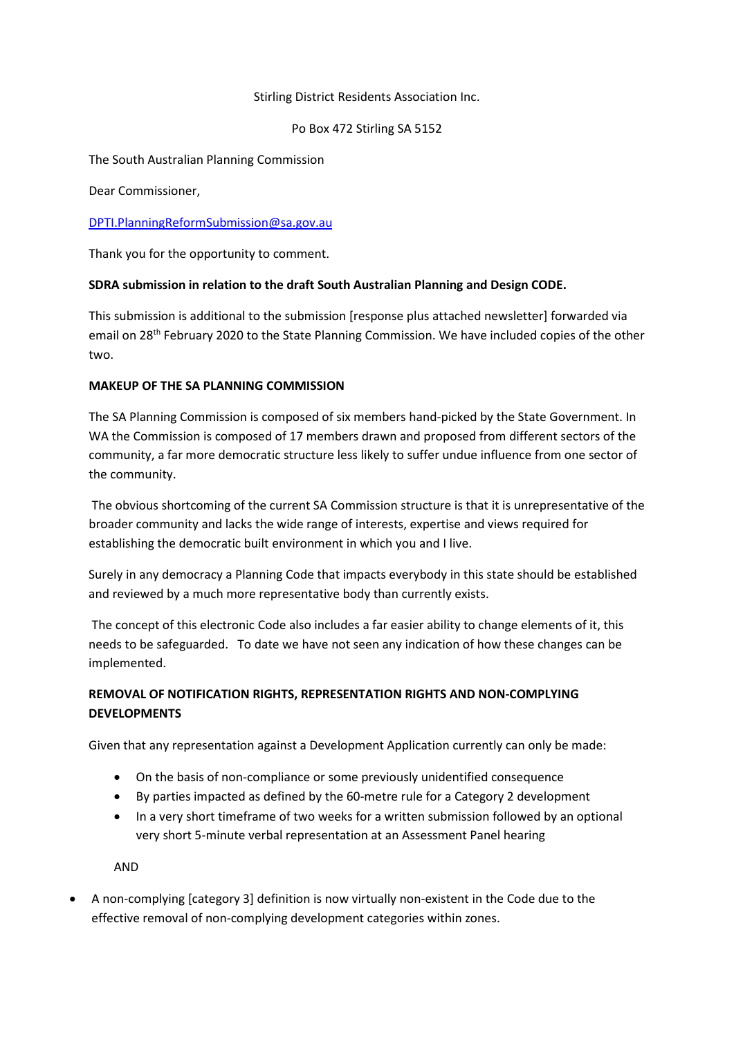#### Stirling District Residents Association Inc.

#### Po Box 472 Stirling SA 5152

The South Australian Planning Commission

Dear Commissioner,

#### [DPTI.PlanningReformSubmission@sa.gov.au](mailto:DPTI.PlanningReformSubmission@sa.gov.au)

Thank you for the opportunity to comment.

#### **SDRA submission in relation to the draft South Australian Planning and Design CODE.**

This submission is additional to the submission [response plus attached newsletter] forwarded via email on 28th February 2020 to the State Planning Commission. We have included copies of the other two.

#### **MAKEUP OF THE SA PLANNING COMMISSION**

The SA Planning Commission is composed of six members hand-picked by the State Government. In WA the Commission is composed of 17 members drawn and proposed from different sectors of the community, a far more democratic structure less likely to suffer undue influence from one sector of the community.

The obvious shortcoming of the current SA Commission structure is that it is unrepresentative of the broader community and lacks the wide range of interests, expertise and views required for establishing the democratic built environment in which you and I live.

Surely in any democracy a Planning Code that impacts everybody in this state should be established and reviewed by a much more representative body than currently exists.

The concept of this electronic Code also includes a far easier ability to change elements of it, this needs to be safeguarded. To date we have not seen any indication of how these changes can be implemented.

# **REMOVAL OF NOTIFICATION RIGHTS, REPRESENTATION RIGHTS AND NON-COMPLYING DEVELOPMENTS**

Given that any representation against a Development Application currently can only be made:

- On the basis of non-compliance or some previously unidentified consequence
- By parties impacted as defined by the 60-metre rule for a Category 2 development
- In a very short timeframe of two weeks for a written submission followed by an optional very short 5-minute verbal representation at an Assessment Panel hearing

AND

• A non-complying [category 3] definition is now virtually non-existent in the Code due to the effective removal of non-complying development categories within zones.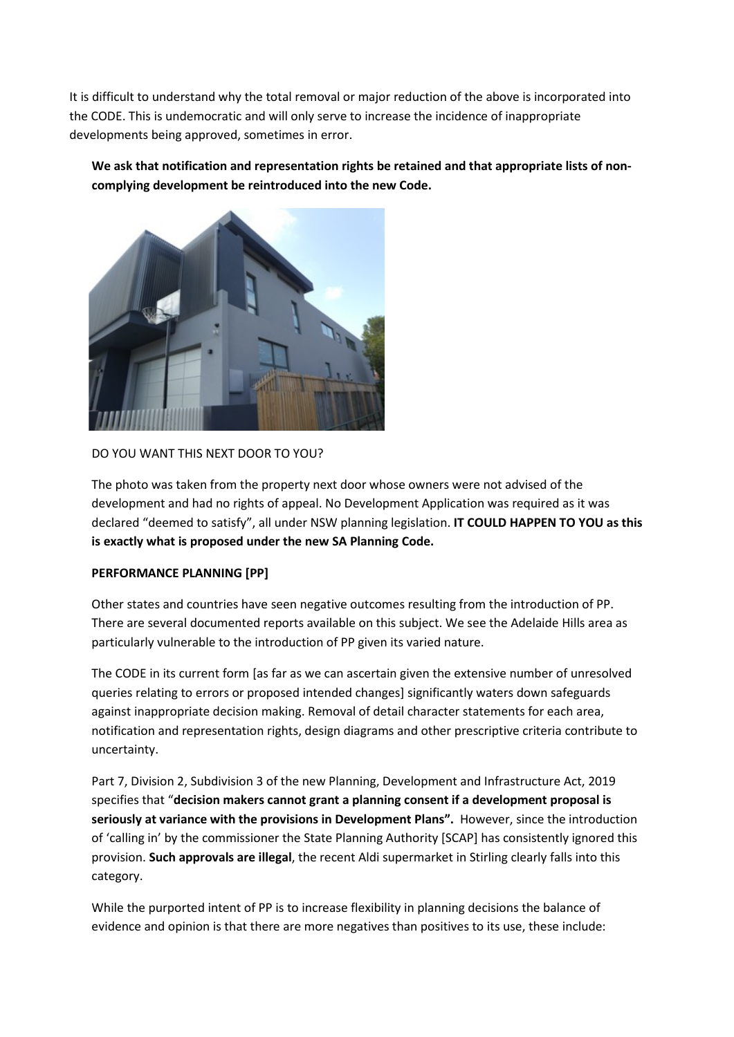It is difficult to understand why the total removal or major reduction of the above is incorporated into the CODE. This is undemocratic and will only serve to increase the incidence of inappropriate developments being approved, sometimes in error.

**We ask that notification and representation rights be retained and that appropriate lists of noncomplying development be reintroduced into the new Code.** 



# DO YOU WANT THIS NEXT DOOR TO YOU?

The photo was taken from the property next door whose owners were not advised of the development and had no rights of appeal. No Development Application was required as it was declared "deemed to satisfy", all under NSW planning legislation. **IT COULD HAPPEN TO YOU as this is exactly what is proposed under the new SA Planning Code.** 

#### **PERFORMANCE PLANNING [PP]**

Other states and countries have seen negative outcomes resulting from the introduction of PP. There are several documented reports available on this subject. We see the Adelaide Hills area as particularly vulnerable to the introduction of PP given its varied nature.

The CODE in its current form [as far as we can ascertain given the extensive number of unresolved queries relating to errors or proposed intended changes] significantly waters down safeguards against inappropriate decision making. Removal of detail character statements for each area, notification and representation rights, design diagrams and other prescriptive criteria contribute to uncertainty.

Part 7, Division 2, Subdivision 3 of the new Planning, Development and Infrastructure Act, 2019 specifies that "**decision makers cannot grant a planning consent if a development proposal is seriously at variance with the provisions in Development Plans".** However, since the introduction of 'calling in' by the commissioner the State Planning Authority [SCAP] has consistently ignored this provision. **Such approvals are illegal**, the recent Aldi supermarket in Stirling clearly falls into this category.

While the purported intent of PP is to increase flexibility in planning decisions the balance of evidence and opinion is that there are more negatives than positives to its use, these include: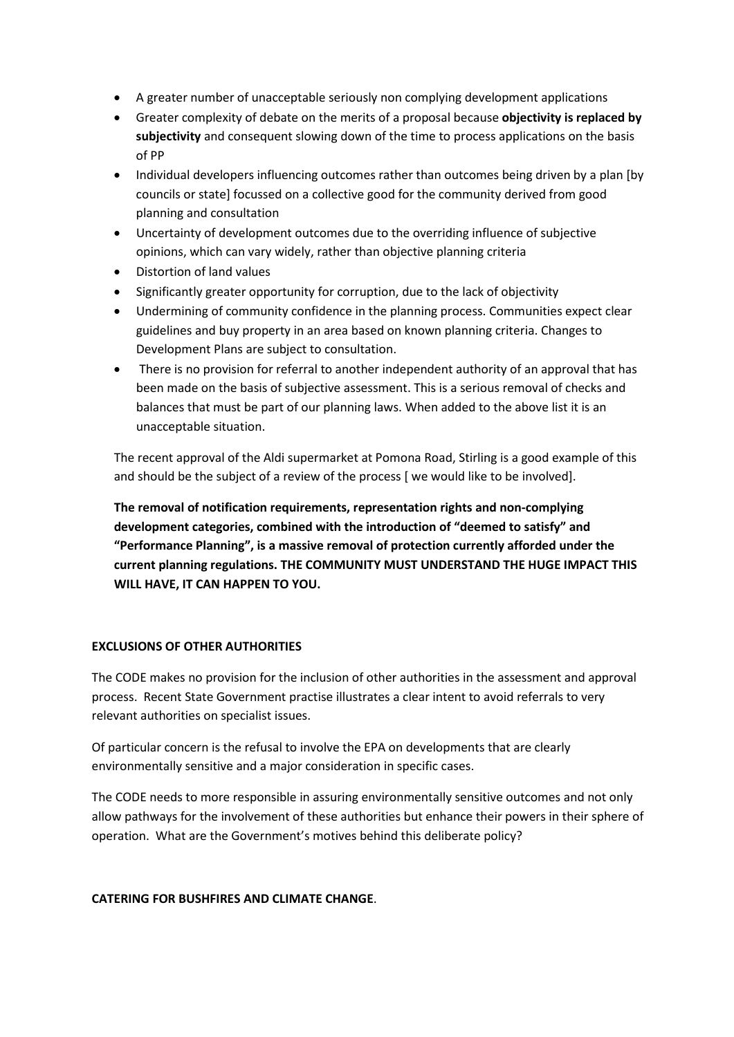- A greater number of unacceptable seriously non complying development applications
- Greater complexity of debate on the merits of a proposal because **objectivity is replaced by subjectivity** and consequent slowing down of the time to process applications on the basis of PP
- Individual developers influencing outcomes rather than outcomes being driven by a plan [by councils or state] focussed on a collective good for the community derived from good planning and consultation
- Uncertainty of development outcomes due to the overriding influence of subjective opinions, which can vary widely, rather than objective planning criteria
- Distortion of land values
- Significantly greater opportunity for corruption, due to the lack of objectivity
- Undermining of community confidence in the planning process. Communities expect clear guidelines and buy property in an area based on known planning criteria. Changes to Development Plans are subject to consultation.
- There is no provision for referral to another independent authority of an approval that has been made on the basis of subjective assessment. This is a serious removal of checks and balances that must be part of our planning laws. When added to the above list it is an unacceptable situation.

The recent approval of the Aldi supermarket at Pomona Road, Stirling is a good example of this and should be the subject of a review of the process [ we would like to be involved].

**The removal of notification requirements, representation rights and non-complying development categories, combined with the introduction of "deemed to satisfy" and "Performance Planning", is a massive removal of protection currently afforded under the current planning regulations. THE COMMUNITY MUST UNDERSTAND THE HUGE IMPACT THIS WILL HAVE, IT CAN HAPPEN TO YOU.** 

#### **EXCLUSIONS OF OTHER AUTHORITIES**

The CODE makes no provision for the inclusion of other authorities in the assessment and approval process. Recent State Government practise illustrates a clear intent to avoid referrals to very relevant authorities on specialist issues.

Of particular concern is the refusal to involve the EPA on developments that are clearly environmentally sensitive and a major consideration in specific cases.

The CODE needs to more responsible in assuring environmentally sensitive outcomes and not only allow pathways for the involvement of these authorities but enhance their powers in their sphere of operation. What are the Government's motives behind this deliberate policy?

#### **CATERING FOR BUSHFIRES AND CLIMATE CHANGE**.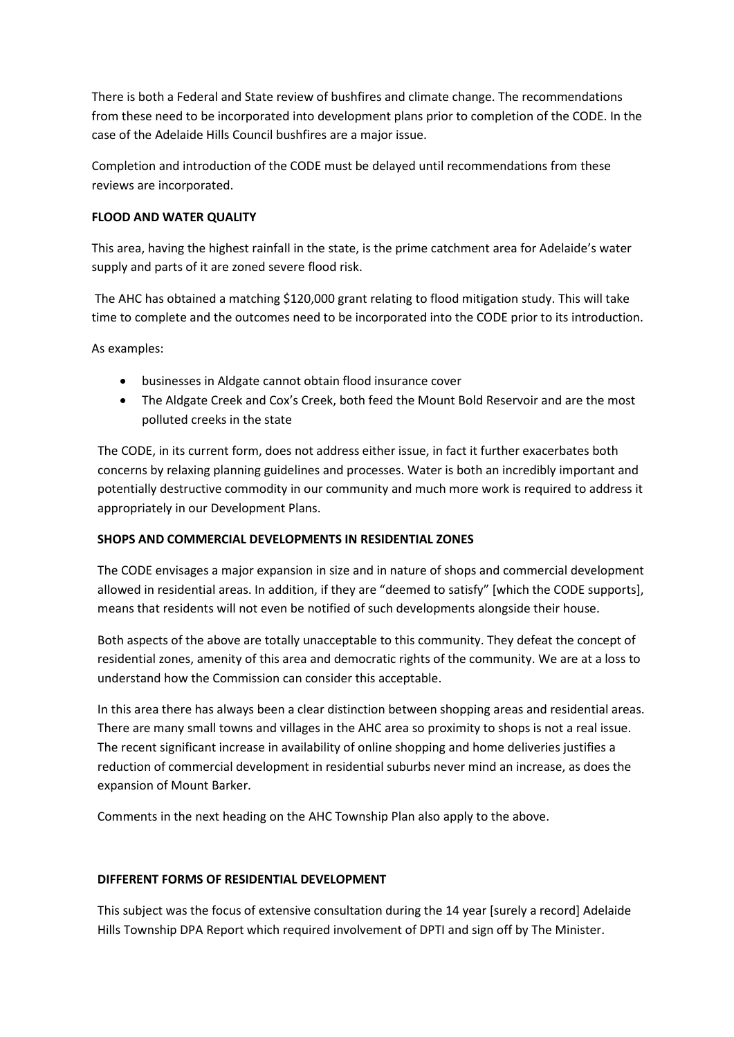There is both a Federal and State review of bushfires and climate change. The recommendations from these need to be incorporated into development plans prior to completion of the CODE. In the case of the Adelaide Hills Council bushfires are a major issue.

Completion and introduction of the CODE must be delayed until recommendations from these reviews are incorporated.

# **FLOOD AND WATER QUALITY**

This area, having the highest rainfall in the state, is the prime catchment area for Adelaide's water supply and parts of it are zoned severe flood risk.

The AHC has obtained a matching \$120,000 grant relating to flood mitigation study. This will take time to complete and the outcomes need to be incorporated into the CODE prior to its introduction.

As examples:

- businesses in Aldgate cannot obtain flood insurance cover
- The Aldgate Creek and Cox's Creek, both feed the Mount Bold Reservoir and are the most polluted creeks in the state

The CODE, in its current form, does not address either issue, in fact it further exacerbates both concerns by relaxing planning guidelines and processes. Water is both an incredibly important and potentially destructive commodity in our community and much more work is required to address it appropriately in our Development Plans.

# **SHOPS AND COMMERCIAL DEVELOPMENTS IN RESIDENTIAL ZONES**

The CODE envisages a major expansion in size and in nature of shops and commercial development allowed in residential areas. In addition, if they are "deemed to satisfy" [which the CODE supports], means that residents will not even be notified of such developments alongside their house.

Both aspects of the above are totally unacceptable to this community. They defeat the concept of residential zones, amenity of this area and democratic rights of the community. We are at a loss to understand how the Commission can consider this acceptable.

In this area there has always been a clear distinction between shopping areas and residential areas. There are many small towns and villages in the AHC area so proximity to shops is not a real issue. The recent significant increase in availability of online shopping and home deliveries justifies a reduction of commercial development in residential suburbs never mind an increase, as does the expansion of Mount Barker.

Comments in the next heading on the AHC Township Plan also apply to the above.

# **DIFFERENT FORMS OF RESIDENTIAL DEVELOPMENT**

This subject was the focus of extensive consultation during the 14 year [surely a record] Adelaide Hills Township DPA Report which required involvement of DPTI and sign off by The Minister.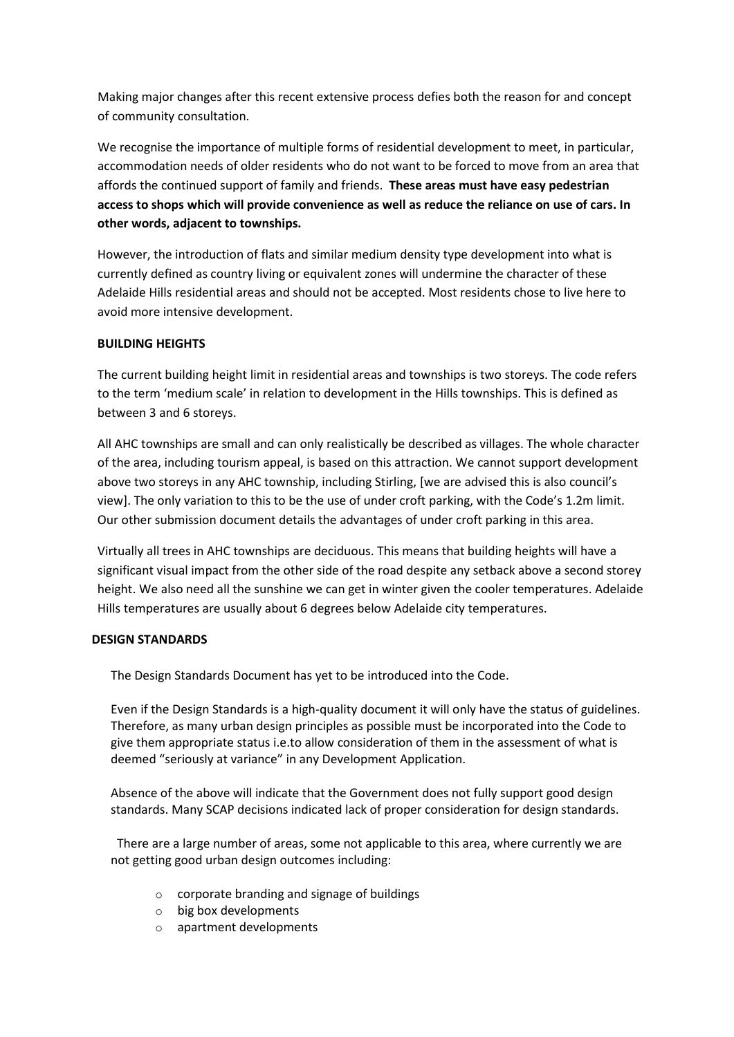Making major changes after this recent extensive process defies both the reason for and concept of community consultation.

We recognise the importance of multiple forms of residential development to meet, in particular, accommodation needs of older residents who do not want to be forced to move from an area that affords the continued support of family and friends. **These areas must have easy pedestrian access to shops which will provide convenience as well as reduce the reliance on use of cars. In other words, adjacent to townships.**

However, the introduction of flats and similar medium density type development into what is currently defined as country living or equivalent zones will undermine the character of these Adelaide Hills residential areas and should not be accepted. Most residents chose to live here to avoid more intensive development.

# **BUILDING HEIGHTS**

The current building height limit in residential areas and townships is two storeys. The code refers to the term 'medium scale' in relation to development in the Hills townships. This is defined as between 3 and 6 storeys.

All AHC townships are small and can only realistically be described as villages. The whole character of the area, including tourism appeal, is based on this attraction. We cannot support development above two storeys in any AHC township, including Stirling, [we are advised this is also council's view]. The only variation to this to be the use of under croft parking, with the Code's 1.2m limit. Our other submission document details the advantages of under croft parking in this area.

Virtually all trees in AHC townships are deciduous. This means that building heights will have a significant visual impact from the other side of the road despite any setback above a second storey height. We also need all the sunshine we can get in winter given the cooler temperatures. Adelaide Hills temperatures are usually about 6 degrees below Adelaide city temperatures.

# **DESIGN STANDARDS**

The Design Standards Document has yet to be introduced into the Code.

Even if the Design Standards is a high-quality document it will only have the status of guidelines. Therefore, as many urban design principles as possible must be incorporated into the Code to give them appropriate status i.e.to allow consideration of them in the assessment of what is deemed "seriously at variance" in any Development Application.

Absence of the above will indicate that the Government does not fully support good design standards. Many SCAP decisions indicated lack of proper consideration for design standards.

 There are a large number of areas, some not applicable to this area, where currently we are not getting good urban design outcomes including:

- o corporate branding and signage of buildings
- o big box developments
- o apartment developments